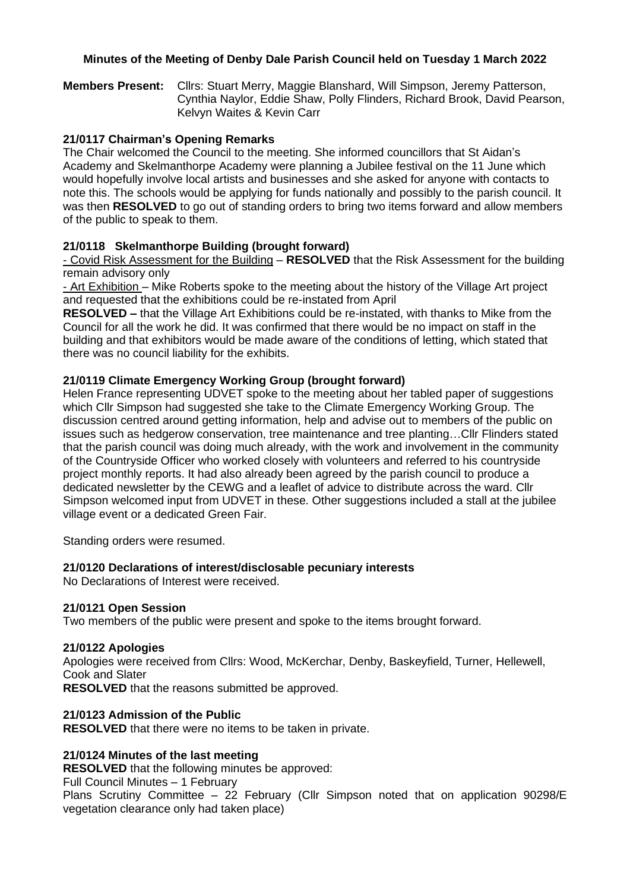## **Minutes of the Meeting of Denby Dale Parish Council held on Tuesday 1 March 2022**

**Members Present:** Cllrs: Stuart Merry, Maggie Blanshard, Will Simpson, Jeremy Patterson, Cynthia Naylor, Eddie Shaw, Polly Flinders, Richard Brook, David Pearson, Kelvyn Waites & Kevin Carr

## **21/0117 Chairman's Opening Remarks**

The Chair welcomed the Council to the meeting. She informed councillors that St Aidan's Academy and Skelmanthorpe Academy were planning a Jubilee festival on the 11 June which would hopefully involve local artists and businesses and she asked for anyone with contacts to note this. The schools would be applying for funds nationally and possibly to the parish council. It was then **RESOLVED** to go out of standing orders to bring two items forward and allow members of the public to speak to them.

## **21/0118 Skelmanthorpe Building (brought forward)**

- Covid Risk Assessment for the Building – **RESOLVED** that the Risk Assessment for the building remain advisory only

- Art Exhibition – Mike Roberts spoke to the meeting about the history of the Village Art project and requested that the exhibitions could be re-instated from April

**RESOLVED –** that the Village Art Exhibitions could be re-instated, with thanks to Mike from the Council for all the work he did. It was confirmed that there would be no impact on staff in the building and that exhibitors would be made aware of the conditions of letting, which stated that there was no council liability for the exhibits.

## **21/0119 Climate Emergency Working Group (brought forward)**

Helen France representing UDVET spoke to the meeting about her tabled paper of suggestions which Cllr Simpson had suggested she take to the Climate Emergency Working Group. The discussion centred around getting information, help and advise out to members of the public on issues such as hedgerow conservation, tree maintenance and tree planting…Cllr Flinders stated that the parish council was doing much already, with the work and involvement in the community of the Countryside Officer who worked closely with volunteers and referred to his countryside project monthly reports. It had also already been agreed by the parish council to produce a dedicated newsletter by the CEWG and a leaflet of advice to distribute across the ward. Cllr Simpson welcomed input from UDVET in these. Other suggestions included a stall at the jubilee village event or a dedicated Green Fair.

Standing orders were resumed.

#### **21/0120 Declarations of interest/disclosable pecuniary interests**

No Declarations of Interest were received.

#### **21/0121 Open Session**

Two members of the public were present and spoke to the items brought forward.

#### **21/0122 Apologies**

Apologies were received from Cllrs: Wood, McKerchar, Denby, Baskeyfield, Turner, Hellewell, Cook and Slater

**RESOLVED** that the reasons submitted be approved.

## **21/0123 Admission of the Public**

**RESOLVED** that there were no items to be taken in private.

## **21/0124 Minutes of the last meeting**

**RESOLVED** that the following minutes be approved:

## Full Council Minutes – 1 February

Plans Scrutiny Committee – 22 February (Cllr Simpson noted that on application 90298/E vegetation clearance only had taken place)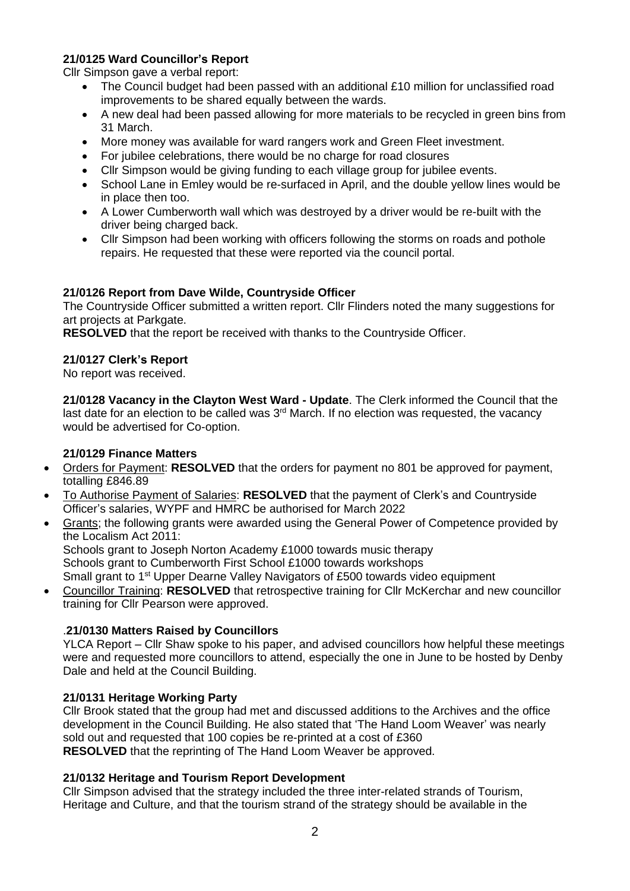# **21/0125 Ward Councillor's Report**

Cllr Simpson gave a verbal report:

- The Council budget had been passed with an additional £10 million for unclassified road improvements to be shared equally between the wards.
- A new deal had been passed allowing for more materials to be recycled in green bins from 31 March.
- More money was available for ward rangers work and Green Fleet investment.
- For jubilee celebrations, there would be no charge for road closures
- Cllr Simpson would be giving funding to each village group for jubilee events.
- School Lane in Emley would be re-surfaced in April, and the double yellow lines would be in place then too.
- A Lower Cumberworth wall which was destroyed by a driver would be re-built with the driver being charged back.
- Cllr Simpson had been working with officers following the storms on roads and pothole repairs. He requested that these were reported via the council portal.

# **21/0126 Report from Dave Wilde, Countryside Officer**

The Countryside Officer submitted a written report. Cllr Flinders noted the many suggestions for art projects at Parkgate.

**RESOLVED** that the report be received with thanks to the Countryside Officer.

### **21/0127 Clerk's Report**

No report was received.

**21/0128 Vacancy in the Clayton West Ward - Update**. The Clerk informed the Council that the last date for an election to be called was 3<sup>rd</sup> March. If no election was requested, the vacancy would be advertised for Co-option.

## **21/0129 Finance Matters**

- Orders for Payment: **RESOLVED** that the orders for payment no 801 be approved for payment, totalling £846.89
- To Authorise Payment of Salaries: **RESOLVED** that the payment of Clerk's and Countryside Officer's salaries, WYPF and HMRC be authorised for March 2022
- Grants; the following grants were awarded using the General Power of Competence provided by the Localism Act 2011: Schools grant to Joseph Norton Academy £1000 towards music therapy Schools grant to Cumberworth First School £1000 towards workshops Small grant to 1<sup>st</sup> Upper Dearne Valley Navigators of £500 towards video equipment
- Councillor Training: **RESOLVED** that retrospective training for Cllr McKerchar and new councillor training for Cllr Pearson were approved.

## .**21/0130 Matters Raised by Councillors**

YLCA Report – Cllr Shaw spoke to his paper, and advised councillors how helpful these meetings were and requested more councillors to attend, especially the one in June to be hosted by Denby Dale and held at the Council Building.

## **21/0131 Heritage Working Party**

Cllr Brook stated that the group had met and discussed additions to the Archives and the office development in the Council Building. He also stated that 'The Hand Loom Weaver' was nearly sold out and requested that 100 copies be re-printed at a cost of £360 **RESOLVED** that the reprinting of The Hand Loom Weaver be approved.

## **21/0132 Heritage and Tourism Report Development**

Cllr Simpson advised that the strategy included the three inter-related strands of Tourism, Heritage and Culture, and that the tourism strand of the strategy should be available in the